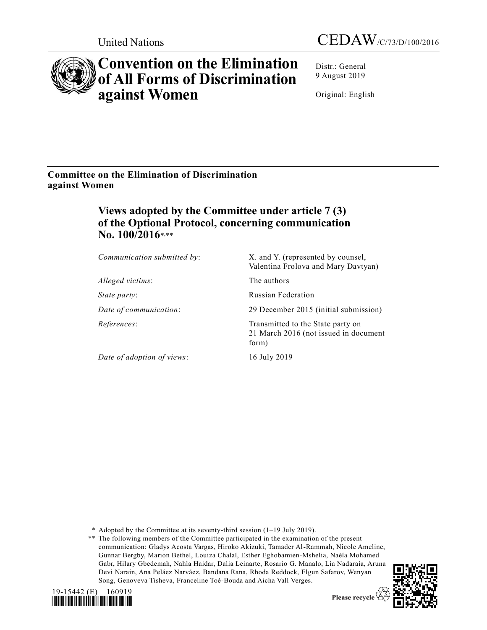



# **Convention on the Elimination of All Forms of Discrimination against Women**

Distr.: General 9 August 2019

Original: English

**Committee on the Elimination of Discrimination against Women**

## **Views adopted by the Committee under article 7 (3) of the Optional Protocol, concerning communication No. 100/2016**\* ,\*\*

| Communication submitted by: | X. and Y. (represented by counsel,<br>Valentina Frolova and Mary Davtyan)           |
|-----------------------------|-------------------------------------------------------------------------------------|
| Alleged victims:            | The authors                                                                         |
| <i>State party:</i>         | <b>Russian Federation</b>                                                           |
| Date of communication:      | 29 December 2015 (initial submission)                                               |
| References:                 | Transmitted to the State party on<br>21 March 2016 (not issued in document<br>form) |
| Date of adoption of views:  | 16 July 2019                                                                        |

\* Adopted by the Committee at its seventy-third session (1–19 July 2019).

<sup>\*\*</sup> The following members of the Committee participated in the examination of the present communication: Gladys Acosta Vargas, Hiroko Akizuki, Tamader Al-Rammah, Nicole Ameline, Gunnar Bergby, Marion Bethel, Louiza Chalal, Esther Eghobamien-Mshelia, Naéla Mohamed Gabr, Hilary Gbedemah, Nahla Haidar, Dalia Leinarte, Rosario G. Manalo, Lia Nadaraia, Aruna Devi Narain, Ana Peláez Narváez, Bandana Rana, Rhoda Reddock, Elgun Safarov, Wenyan Song, Genoveva Tisheva, Franceline Toé-Bouda and Aicha Vall Verges.





Please recycle  $\overline{\mathcal{C}}$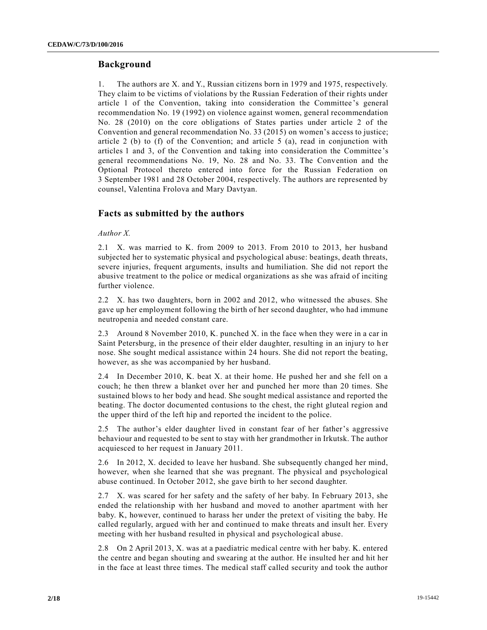## **Background**

1. The authors are X. and Y., Russian citizens born in 1979 and 1975, respectively. They claim to be victims of violations by the Russian Federation of their rights under article 1 of the Convention, taking into consideration the Committee 's general recommendation No. 19 (1992) on violence against women, general recommendation No. 28 (2010) on the core obligations of States parties under article 2 of the Convention and general recommendation No. 33 (2015) on women's access to justice; article 2 (b) to  $(f)$  of the Convention; and article 5 (a), read in conjunction with articles 1 and 3, of the Convention and taking into consideration the Committee 's general recommendations No. 19, No. 28 and No. 33. The Convention and the Optional Protocol thereto entered into force for the Russian Federation on 3 September 1981 and 28 October 2004, respectively. The authors are represented by counsel, Valentina Frolova and Mary Davtyan.

## **Facts as submitted by the authors**

#### *Author X.*

2.1 X. was married to K. from 2009 to 2013. From 2010 to 2013, her husband subjected her to systematic physical and psychological abuse: beatings, death threats, severe injuries, frequent arguments, insults and humiliation. She did not report the abusive treatment to the police or medical organizations as she was afraid of inciting further violence.

2.2 X. has two daughters, born in 2002 and 2012, who witnessed the abuses. She gave up her employment following the birth of her second daughter, who had immune neutropenia and needed constant care.

2.3 Around 8 November 2010, K. punched X. in the face when they were in a car in Saint Petersburg, in the presence of their elder daughter, resulting in an injury to h er nose. She sought medical assistance within 24 hours. She did not report the beating, however, as she was accompanied by her husband.

2.4 In December 2010, K. beat X. at their home. He pushed her and she fell on a couch; he then threw a blanket over her and punched her more than 20 times. She sustained blows to her body and head. She sought medical assistance and reported the beating. The doctor documented contusions to the chest, the right gluteal region and the upper third of the left hip and reported the incident to the police.

2.5 The author's elder daughter lived in constant fear of her father's aggressive behaviour and requested to be sent to stay with her grandmother in Irkutsk. The author acquiesced to her request in January 2011.

2.6 In 2012, X. decided to leave her husband. She subsequently changed her mind, however, when she learned that she was pregnant. The physical and psychological abuse continued. In October 2012, she gave birth to her second daughter.

2.7 X. was scared for her safety and the safety of her baby. In February 2013, she ended the relationship with her husband and moved to another apartment with her baby. K, however, continued to harass her under the pretext of visiting the baby. He called regularly, argued with her and continued to make threats and insult her. Every meeting with her husband resulted in physical and psychological abuse.

2.8 On 2 April 2013, X. was at a paediatric medical centre with her baby. K. entered the centre and began shouting and swearing at the author. He insulted her and hit her in the face at least three times. The medical staff called security and took the author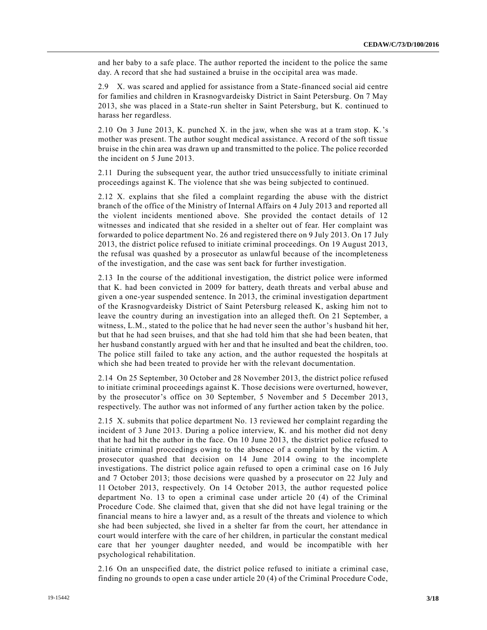and her baby to a safe place. The author reported the incident to the police the same day. A record that she had sustained a bruise in the occipital area was made.

2.9 X. was scared and applied for assistance from a State-financed social aid centre for families and children in Krasnogvardeisky District in Saint Petersburg. On 7 May 2013, she was placed in a State-run shelter in Saint Petersburg, but K. continued to harass her regardless.

2.10 On 3 June 2013, K. punched X. in the jaw, when she was at a tram stop. K.'s mother was present. The author sought medical assistance. A record of the soft tissue bruise in the chin area was drawn up and transmitted to the police. The police recorded the incident on 5 June 2013.

2.11 During the subsequent year, the author tried unsuccessfully to initiate criminal proceedings against K. The violence that she was being subjected to continued.

2.12 X. explains that she filed a complaint regarding the abuse with the district branch of the office of the Ministry of Internal Affairs on 4 July 2013 and reported all the violent incidents mentioned above. She provided the contact details of 12 witnesses and indicated that she resided in a shelter out of fear. Her complaint was forwarded to police department No. 26 and registered there on 9 July 2013. On 17 July 2013, the district police refused to initiate criminal proceedings. On 19 August 2013, the refusal was quashed by a prosecutor as unlawful because of the incompleteness of the investigation, and the case was sent back for further investigation.

2.13 In the course of the additional investigation, the district police were informed that K. had been convicted in 2009 for battery, death threats and verbal abuse and given a one-year suspended sentence. In 2013, the criminal investigation department of the Krasnogvardeisky District of Saint Petersburg released K, asking him not to leave the country during an investigation into an alleged theft. On 21 September, a witness, L.M., stated to the police that he had never seen the author's husband hit her, but that he had seen bruises, and that she had told him that she had been beaten, that her husband constantly argued with her and that he insulted and beat the children, too. The police still failed to take any action, and the author requested the hospitals at which she had been treated to provide her with the relevant documentation.

2.14 On 25 September, 30 October and 28 November 2013, the district police refused to initiate criminal proceedings against K. Those decisions were overturned, however, by the prosecutor's office on 30 September, 5 November and 5 December 2013, respectively. The author was not informed of any further action taken by the police.

2.15 X. submits that police department No. 13 reviewed her complaint regarding the incident of 3 June 2013. During a police interview, K. and his mother did not deny that he had hit the author in the face. On 10 June 2013, the district police refused to initiate criminal proceedings owing to the absence of a complaint by the victim. A prosecutor quashed that decision on 14 June 2014 owing to the incomplete investigations. The district police again refused to open a criminal case on 16 July and 7 October 2013; those decisions were quashed by a prosecutor on 22 July and 11 October 2013, respectively. On 14 October 2013, the author requested police department No. 13 to open a criminal case under article 20 (4) of the Criminal Procedure Code. She claimed that, given that she did not have legal training or the financial means to hire a lawyer and, as a result of the threats and violence to which she had been subjected, she lived in a shelter far from the court, her attendance in court would interfere with the care of her children, in particular the constant medical care that her younger daughter needed, and would be incompatible with her psychological rehabilitation.

2.16 On an unspecified date, the district police refused to initiate a criminal case, finding no grounds to open a case under article 20 (4) of the Criminal Procedure Code,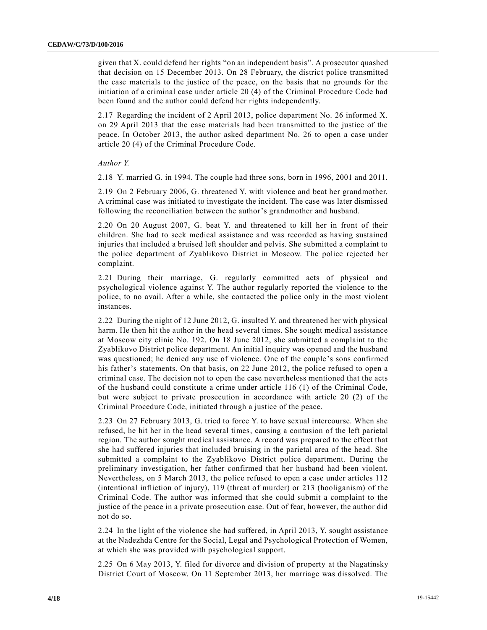given that X. could defend her rights "on an independent basis". A prosecutor quashed that decision on 15 December 2013. On 28 February, the district police transmitted the case materials to the justice of the peace, on the basis that no grounds for the initiation of a criminal case under article 20 (4) of the Criminal Procedure Code had been found and the author could defend her rights independently.

2.17 Regarding the incident of 2 April 2013, police department No. 26 informed X. on 29 April 2013 that the case materials had been transmitted to the justice of the peace. In October 2013, the author asked department No. 26 to open a case under article 20 (4) of the Criminal Procedure Code.

*Author Y.*

2.18 Y. married G. in 1994. The couple had three sons, born in 1996, 2001 and 2011.

2.19 On 2 February 2006, G. threatened Y. with violence and beat her grandmother. A criminal case was initiated to investigate the incident. The case was later dismissed following the reconciliation between the author's grandmother and husband.

2.20 On 20 August 2007, G. beat Y. and threatened to kill her in front of their children. She had to seek medical assistance and was recorded as having sustained injuries that included a bruised left shoulder and pelvis. She submitted a complaint to the police department of Zyablikovo District in Moscow. The police rejected her complaint.

2.21 During their marriage, G. regularly committed acts of physical and psychological violence against Y. The author regularly reported the violence to the police, to no avail. After a while, she contacted the police only in the most violent instances.

2.22 During the night of 12 June 2012, G. insulted Y. and threatened her with physical harm. He then hit the author in the head several times. She sought medical assistance at Moscow city clinic No. 192. On 18 June 2012, she submitted a complaint to the Zyablikovo District police department. An initial inquiry was opened and the husband was questioned; he denied any use of violence. One of the couple 's sons confirmed his father's statements. On that basis, on 22 June 2012, the police refused to open a criminal case. The decision not to open the case nevertheless mentioned that the acts of the husband could constitute a crime under article 116 (1) of the Criminal Code, but were subject to private prosecution in accordance with article 20 (2) of the Criminal Procedure Code, initiated through a justice of the peace.

2.23 On 27 February 2013, G. tried to force Y. to have sexual intercourse. When she refused, he hit her in the head several times, causing a contusion of the left parietal region. The author sought medical assistance. A record was prepared to the effect that she had suffered injuries that included bruising in the parietal area of the head. She submitted a complaint to the Zyablikovo District police department. During the preliminary investigation, her father confirmed that her husband had been violent. Nevertheless, on 5 March 2013, the police refused to open a case under articles 112 (intentional infliction of injury), 119 (threat of murder) or 213 (hooliganism) of the Criminal Code. The author was informed that she could submit a complaint to the justice of the peace in a private prosecution case. Out of fear, however, the author did not do so.

2.24 In the light of the violence she had suffered, in April 2013, Y. sought assistance at the Nadezhda Centre for the Social, Legal and Psychological Protection of Women, at which she was provided with psychological support.

2.25 On 6 May 2013, Y. filed for divorce and division of property at the Nagatinsky District Court of Moscow. On 11 September 2013, her marriage was dissolved. The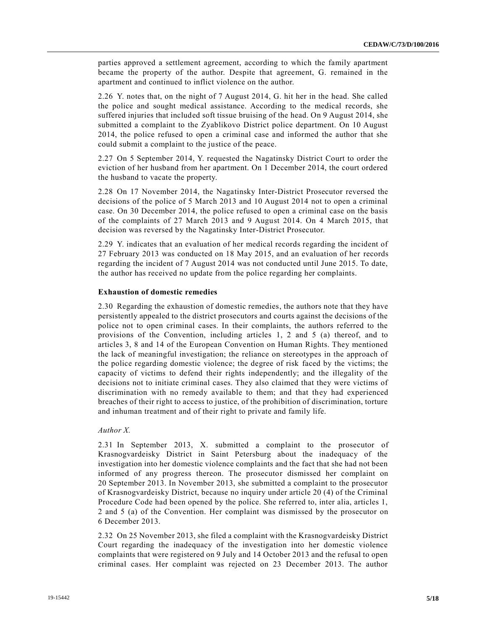parties approved a settlement agreement, according to which the family apartment became the property of the author. Despite that agreement, G. remained in the apartment and continued to inflict violence on the author.

2.26 Y. notes that, on the night of 7 August 2014, G. hit her in the head. She called the police and sought medical assistance. According to the medical records, she suffered injuries that included soft tissue bruising of the head. On 9 August 2014, she submitted a complaint to the Zyablikovo District police department. On 10 August 2014, the police refused to open a criminal case and informed the author that she could submit a complaint to the justice of the peace.

2.27 On 5 September 2014, Y. requested the Nagatinsky District Court to order the eviction of her husband from her apartment. On 1 December 2014, the court ordered the husband to vacate the property.

2.28 On 17 November 2014, the Nagatinsky Inter-District Prosecutor reversed the decisions of the police of 5 March 2013 and 10 August 2014 not to open a criminal case. On 30 December 2014, the police refused to open a criminal case on the basis of the complaints of 27 March 2013 and 9 August 2014. On 4 March 2015, that decision was reversed by the Nagatinsky Inter-District Prosecutor.

2.29 Y. indicates that an evaluation of her medical records regarding the incident of 27 February 2013 was conducted on 18 May 2015, and an evaluation of her records regarding the incident of 7 August 2014 was not conducted until June 2015. To date, the author has received no update from the police regarding her complaints.

#### **Exhaustion of domestic remedies**

2.30 Regarding the exhaustion of domestic remedies, the authors note that they have persistently appealed to the district prosecutors and courts against the decisions of the police not to open criminal cases. In their complaints, the authors referred to the provisions of the Convention, including articles 1, 2 and 5 (a) thereof, and to articles 3, 8 and 14 of the European Convention on Human Rights. They mentioned the lack of meaningful investigation; the reliance on stereotypes in the approach of the police regarding domestic violence; the degree of risk faced by the victims; the capacity of victims to defend their rights independently; and the illegality of the decisions not to initiate criminal cases. They also claimed that they were victims of discrimination with no remedy available to them; and that they had experienced breaches of their right to access to justice, of the prohibition of discrimination, torture and inhuman treatment and of their right to private and family life.

#### *Author X.*

2.31 In September 2013, X. submitted a complaint to the prosecutor of Krasnogvardeisky District in Saint Petersburg about the inadequacy of the investigation into her domestic violence complaints and the fact that she had not been informed of any progress thereon. The prosecutor dismissed her complaint on 20 September 2013. In November 2013, she submitted a complaint to the prosecutor of Krasnogvardeisky District, because no inquiry under article 20 (4) of the Criminal Procedure Code had been opened by the police. She referred to, inter alia, articles 1, 2 and 5 (a) of the Convention. Her complaint was dismissed by the prosecutor on 6 December 2013.

2.32 On 25 November 2013, she filed a complaint with the Krasnogvardeisky District Court regarding the inadequacy of the investigation into her domestic violence complaints that were registered on 9 July and 14 October 2013 and the refusal to open criminal cases. Her complaint was rejected on 23 December 2013. The author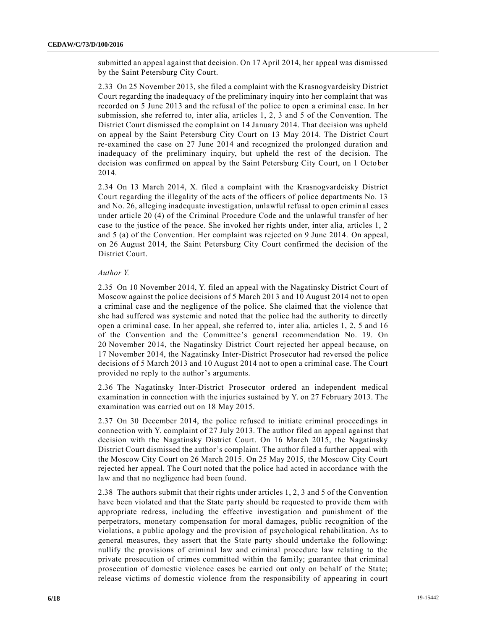submitted an appeal against that decision. On 17 April 2014, her appeal was dismissed by the Saint Petersburg City Court.

2.33 On 25 November 2013, she filed a complaint with the Krasnogvardeisky District Court regarding the inadequacy of the preliminary inquiry into her complaint that was recorded on 5 June 2013 and the refusal of the police to open a criminal case. In her submission, she referred to, inter alia, articles 1, 2, 3 and 5 of the Convention. The District Court dismissed the complaint on 14 January 2014. That decision was upheld on appeal by the Saint Petersburg City Court on 13 May 2014. The District Court re-examined the case on 27 June 2014 and recognized the prolonged duration and inadequacy of the preliminary inquiry, but upheld the rest of the decision. The decision was confirmed on appeal by the Saint Petersburg City Court, on 1 Octo ber 2014.

2.34 On 13 March 2014, X. filed a complaint with the Krasnogvardeisky District Court regarding the illegality of the acts of the officers of police departments No. 13 and No. 26, alleging inadequate investigation, unlawful refusal to open criminal cases under article 20 (4) of the Criminal Procedure Code and the unlawful transfer of her case to the justice of the peace. She invoked her rights under, inter alia, articles 1, 2 and 5 (a) of the Convention. Her complaint was rejected on 9 June 2014. On appeal, on 26 August 2014, the Saint Petersburg City Court confirmed the decision of the District Court.

#### *Author Y.*

2.35 On 10 November 2014, Y. filed an appeal with the Nagatinsky District Court of Moscow against the police decisions of 5 March 2013 and 10 August 2014 not to open a criminal case and the negligence of the police. She claimed that the violence that she had suffered was systemic and noted that the police had the authority to directly open a criminal case. In her appeal, she referred to, inter alia, articles 1, 2, 5 and 16 of the Convention and the Committee's general recommendation No. 19. On 20 November 2014, the Nagatinsky District Court rejected her appeal because, on 17 November 2014, the Nagatinsky Inter-District Prosecutor had reversed the police decisions of 5 March 2013 and 10 August 2014 not to open a criminal case. The Court provided no reply to the author's arguments.

2.36 The Nagatinsky Inter-District Prosecutor ordered an independent medical examination in connection with the injuries sustained by Y. on 27 February 2013. The examination was carried out on 18 May 2015.

2.37 On 30 December 2014, the police refused to initiate criminal proceedings in connection with Y. complaint of 27 July 2013. The author filed an appeal against that decision with the Nagatinsky District Court. On 16 March 2015, the Nagatinsky District Court dismissed the author's complaint. The author filed a further appeal with the Moscow City Court on 26 March 2015. On 25 May 2015, the Moscow City Court rejected her appeal. The Court noted that the police had acted in accordance with the law and that no negligence had been found.

2.38 The authors submit that their rights under articles 1, 2, 3 and 5 of the Convention have been violated and that the State party should be requested to provide them with appropriate redress, including the effective investigation and punishment of the perpetrators, monetary compensation for moral damages, public recognition of the violations, a public apology and the provision of psychological rehabilitation. As to general measures, they assert that the State party should undertake the following: nullify the provisions of criminal law and criminal procedure law relating to the private prosecution of crimes committed within the family; guarantee that criminal prosecution of domestic violence cases be carried out only on behalf of the State; release victims of domestic violence from the responsibility of appearing in court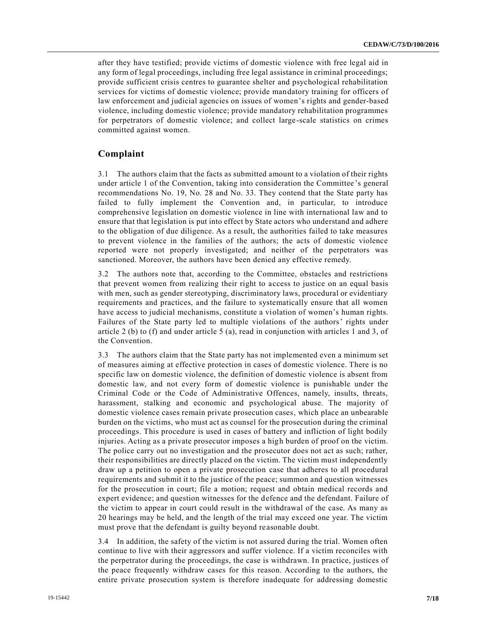after they have testified; provide victims of domestic violence with free legal aid in any form of legal proceedings, including free legal assistance in criminal proceedings; provide sufficient crisis centres to guarantee shelter and psychological rehabilitation services for victims of domestic violence; provide mandatory training for officers of law enforcement and judicial agencies on issues of women's rights and gender-based violence, including domestic violence; provide mandatory rehabilitation programmes for perpetrators of domestic violence; and collect large-scale statistics on crimes committed against women.

## **Complaint**

3.1 The authors claim that the facts as submitted amount to a violation of their rights under article 1 of the Convention, taking into consideration the Committee 's general recommendations No. 19, No. 28 and No. 33. They contend that the State party has failed to fully implement the Convention and, in particular, to introduce comprehensive legislation on domestic violence in line with international law and to ensure that that legislation is put into effect by State actors who understand and adhere to the obligation of due diligence. As a result, the authorities failed to take measures to prevent violence in the families of the authors; the acts of domestic violence reported were not properly investigated; and neither of the perpetrators was sanctioned. Moreover, the authors have been denied any effective remedy.

3.2 The authors note that, according to the Committee, obstacles and restrictions that prevent women from realizing their right to access to justice on an equal basis with men, such as gender stereotyping, discriminatory laws, procedural or evidentiary requirements and practices, and the failure to systematically ensure that all women have access to judicial mechanisms, constitute a violation of women's human rights. Failures of the State party led to multiple violations of the authors' rights under article 2 (b) to (f) and under article 5 (a), read in conjunction with articles 1 and 3, of the Convention.

3.3 The authors claim that the State party has not implemented even a minimum set of measures aiming at effective protection in cases of domestic violence. There is no specific law on domestic violence, the definition of domestic violence is absent from domestic law, and not every form of domestic violence is punishable under the Criminal Code or the Code of Administrative Offences, namely, insults, threats, harassment, stalking and economic and psychological abuse. The majority of domestic violence cases remain private prosecution cases, which place an unbearable burden on the victims, who must act as counsel for the prosecution during the criminal proceedings. This procedure is used in cases of battery and infliction of light bodily injuries. Acting as a private prosecutor imposes a high burden of proof on the victim. The police carry out no investigation and the prosecutor does not act as such; rather, their responsibilities are directly placed on the victim. The victim must independently draw up a petition to open a private prosecution case that adheres to all procedural requirements and submit it to the justice of the peace; summon and question witnesses for the prosecution in court; file a motion; request and obtain medical records and expert evidence; and question witnesses for the defence and the defendant. Failure of the victim to appear in court could result in the withdrawal of the case. As many as 20 hearings may be held, and the length of the trial may exceed one year. The victim must prove that the defendant is guilty beyond reasonable doubt.

3.4 In addition, the safety of the victim is not assured during the trial. Women often continue to live with their aggressors and suffer violence. If a victim reconciles with the perpetrator during the proceedings, the case is withdrawn. In practice, justices of the peace frequently withdraw cases for this reason. According to the authors, the entire private prosecution system is therefore inadequate for addressing domestic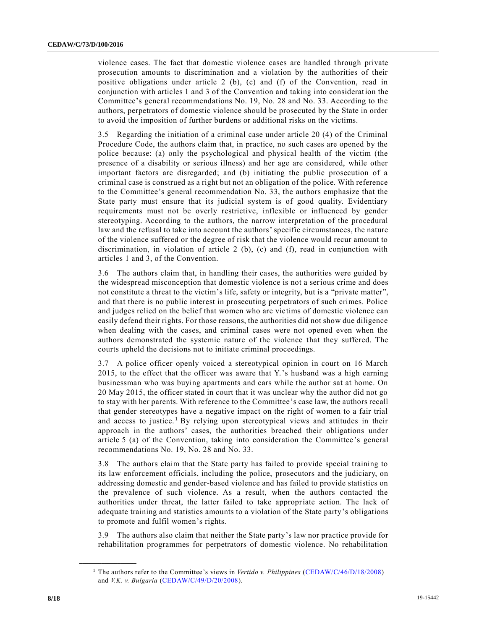violence cases. The fact that domestic violence cases are handled through private prosecution amounts to discrimination and a violation by the authorities of their positive obligations under article 2 (b), (c) and (f) of the Convention, read in conjunction with articles 1 and 3 of the Convention and taking into consideration the Committee's general recommendations No. 19, No. 28 and No. 33. According to the authors, perpetrators of domestic violence should be prosecuted by the State in order to avoid the imposition of further burdens or additional risks on the victims.

3.5 Regarding the initiation of a criminal case under article 20 (4) of the Criminal Procedure Code, the authors claim that, in practice, no such cases are opened by the police because: (a) only the psychological and physical health of the victim (the presence of a disability or serious illness) and her age are considered, while other important factors are disregarded; and (b) initiating the public prosecution of a criminal case is construed as a right but not an obligation of the police. With reference to the Committee's general recommendation No. 33, the authors emphasize that the State party must ensure that its judicial system is of good quality. Evidentiary requirements must not be overly restrictive, inflexible or influenced by gender stereotyping. According to the authors, the narrow interpretation of the procedural law and the refusal to take into account the authors' specific circumstances, the nature of the violence suffered or the degree of risk that the violence would recur amount to discrimination, in violation of article 2 (b), (c) and (f), read in conjunction with articles 1 and 3, of the Convention.

3.6 The authors claim that, in handling their cases, the authorities were guided by the widespread misconception that domestic violence is not a serious crime and does not constitute a threat to the victim's life, safety or integrity, but is a "private matter", and that there is no public interest in prosecuting perpetrators of such crimes. Police and judges relied on the belief that women who are victims of domestic violence can easily defend their rights. For those reasons, the authorities did not show due diligence when dealing with the cases, and criminal cases were not opened even when the authors demonstrated the systemic nature of the violence that they suffered. The courts upheld the decisions not to initiate criminal proceedings.

3.7 A police officer openly voiced a stereotypical opinion in court on 16 March 2015, to the effect that the officer was aware that Y.'s husband was a high earning businessman who was buying apartments and cars while the author sat at home. On 20 May 2015, the officer stated in court that it was unclear why the author did not go to stay with her parents. With reference to the Committee's case law, the authors recall that gender stereotypes have a negative impact on the right of women to a fair trial and access to justice.<sup>1</sup> By relying upon stereotypical views and attitudes in their approach in the authors' cases, the authorities breached their obligations under article 5 (a) of the Convention, taking into consideration the Committee's general recommendations No. 19, No. 28 and No. 33.

3.8 The authors claim that the State party has failed to provide special training to its law enforcement officials, including the police, prosecutors and the judiciary, on addressing domestic and gender-based violence and has failed to provide statistics on the prevalence of such violence. As a result, when the authors contacted the authorities under threat, the latter failed to take appropriate action. The lack of adequate training and statistics amounts to a violation of the State party's obligations to promote and fulfil women's rights.

3.9 The authors also claim that neither the State party's law nor practice provide for rehabilitation programmes for perpetrators of domestic violence. No rehabilitation

<sup>1</sup> The authors refer to the Committee's views in *Vertido v. Philippines* [\(CEDAW/C/46/D/18/2008\)](https://undocs.org/en/CEDAW/C/46/D/18/2008) and *V.K. v. Bulgaria* [\(CEDAW/C/49/D/20/2008\)](https://undocs.org/en/CEDAW/C/49/D/20/2008).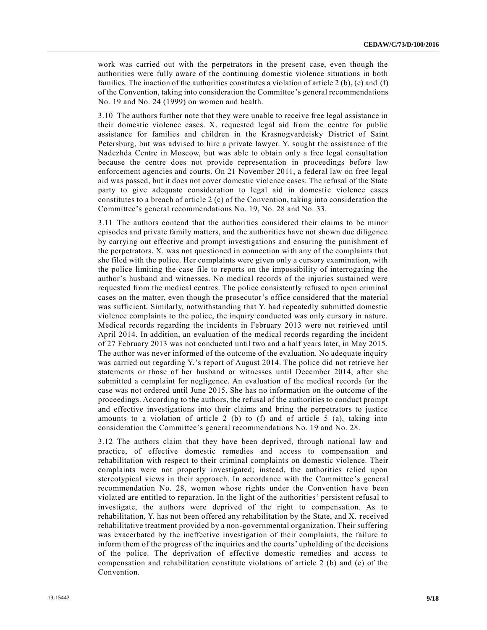work was carried out with the perpetrators in the present case, even though the authorities were fully aware of the continuing domestic violence situations in both families. The inaction of the authorities constitutes a violation of article 2 (b), (e) and (f) of the Convention, taking into consideration the Committee's general recommendations No. 19 and No. 24 (1999) on women and health.

3.10 The authors further note that they were unable to receive free legal assistance in their domestic violence cases. X. requested legal aid from the centre for public assistance for families and children in the Krasnogvardeisky District of Saint Petersburg, but was advised to hire a private lawyer. Y. sought the assistance of the Nadezhda Centre in Moscow, but was able to obtain only a free legal consultation because the centre does not provide representation in proceedings before law enforcement agencies and courts. On 21 November 2011, a federal law on free legal aid was passed, but it does not cover domestic violence cases. The refusal of the State party to give adequate consideration to legal aid in domestic violence cases constitutes to a breach of article 2 (c) of the Convention, taking into consideration the Committee's general recommendations No. 19, No. 28 and No. 33.

3.11 The authors contend that the authorities considered their claims to be minor episodes and private family matters, and the authorities have not shown due diligence by carrying out effective and prompt investigations and ensuring the punishment of the perpetrators. X. was not questioned in connection with any of the complaints that she filed with the police. Her complaints were given only a cursory examination, with the police limiting the case file to reports on the impossibility of interrogating the author's husband and witnesses. No medical records of the injuries sustained were requested from the medical centres. The police consistently refused to open criminal cases on the matter, even though the prosecutor's office considered that the material was sufficient. Similarly, notwithstanding that Y. had repeatedly submitted domestic violence complaints to the police, the inquiry conducted was only cursory in nature. Medical records regarding the incidents in February 2013 were not retrieved until April 2014. In addition, an evaluation of the medical records regarding the incident of 27 February 2013 was not conducted until two and a half years later, in May 2015. The author was never informed of the outcome of the evaluation. No adequate inquiry was carried out regarding Y.'s report of August 2014. The police did not retrieve her statements or those of her husband or witnesses until December 2014, after she submitted a complaint for negligence. An evaluation of the medical records for the case was not ordered until June 2015. She has no information on the outcome of the proceedings. According to the authors, the refusal of the authorities to conduct prompt and effective investigations into their claims and bring the perpetrators to justice amounts to a violation of article 2 (b) to (f) and of article 5 (a), taking into consideration the Committee's general recommendations No. 19 and No. 28.

3.12 The authors claim that they have been deprived, through national law and practice, of effective domestic remedies and access to compensation and rehabilitation with respect to their criminal complaints on domestic violence. Their complaints were not properly investigated; instead, the authorities relied upon stereotypical views in their approach. In accordance with the Committee 's general recommendation No. 28, women whose rights under the Convention have been violated are entitled to reparation. In the light of the authorities' persistent refusal to investigate, the authors were deprived of the right to compensation. As to rehabilitation, Y. has not been offered any rehabilitation by the State, and X. received rehabilitative treatment provided by a non-governmental organization. Their suffering was exacerbated by the ineffective investigation of their complaints, the failure to inform them of the progress of the inquiries and the courts' upholding of the decisions of the police. The deprivation of effective domestic remedies and access to compensation and rehabilitation constitute violations of article 2 (b) and (e) of the Convention.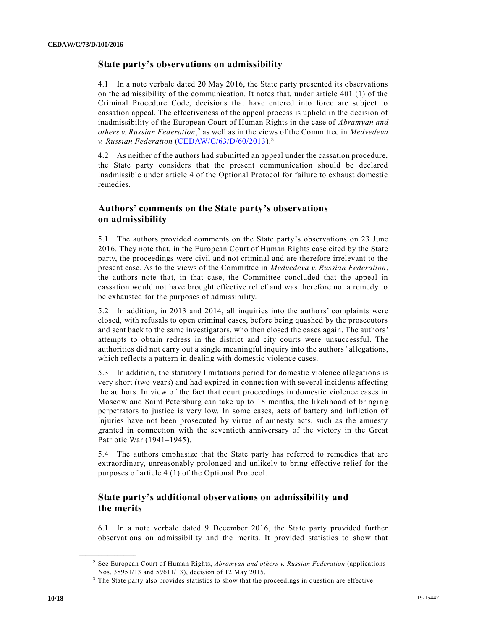#### **State party's observations on admissibility**

4.1 In a note verbale dated 20 May 2016, the State party presented its observations on the admissibility of the communication. It notes that, under article 401 (1) of the Criminal Procedure Code, decisions that have entered into force are subject to cassation appeal. The effectiveness of the appeal process is upheld in the decision of inadmissibility of the European Court of Human Rights in the case of *Abramyan and others v. Russian Federation*, 2 as well as in the views of the Committee in *Medvedeva v. Russian Federation* [\(CEDAW/C/63/D/60/2013\)](https://undocs.org/en/CEDAW/C/63/D/60/2013).<sup>3</sup>

4.2 As neither of the authors had submitted an appeal under the cassation procedure, the State party considers that the present communication should be declared inadmissible under article 4 of the Optional Protocol for failure to exhaust domestic remedies.

## **Authors' comments on the State party's observations on admissibility**

5.1 The authors provided comments on the State party's observations on 23 June 2016. They note that, in the European Court of Human Rights case cited by the State party, the proceedings were civil and not criminal and are therefore irrelevant to the present case. As to the views of the Committee in *Medvedeva v. Russian Federation*, the authors note that, in that case, the Committee concluded that the appeal in cassation would not have brought effective relief and was therefore not a remedy to be exhausted for the purposes of admissibility.

5.2 In addition, in 2013 and 2014, all inquiries into the authors' complaints were closed, with refusals to open criminal cases, before being quashed by the prosecutors and sent back to the same investigators, who then closed the cases again. The authors' attempts to obtain redress in the district and city courts were unsuccessful. The authorities did not carry out a single meaningful inquiry into the authors' allegations, which reflects a pattern in dealing with domestic violence cases.

5.3 In addition, the statutory limitations period for domestic violence allegations is very short (two years) and had expired in connection with several incidents affecting the authors. In view of the fact that court proceedings in domestic violence cases in Moscow and Saint Petersburg can take up to 18 months, the likelihood of bringin g perpetrators to justice is very low. In some cases, acts of battery and infliction of injuries have not been prosecuted by virtue of amnesty acts, such as the amnesty granted in connection with the seventieth anniversary of the victory in the Great Patriotic War (1941–1945).

5.4 The authors emphasize that the State party has referred to remedies that are extraordinary, unreasonably prolonged and unlikely to bring effective relief for the purposes of article 4 (1) of the Optional Protocol.

## **State party's additional observations on admissibility and the merits**

6.1 In a note verbale dated 9 December 2016, the State party provided further observations on admissibility and the merits. It provided statistics to show that

<sup>2</sup> See European Court of Human Rights, *Abramyan and others v. Russian Federation* (applications Nos. 38951/13 and 59611/13), decision of 12 May 2015.

<sup>&</sup>lt;sup>3</sup> The State party also provides statistics to show that the proceedings in question are effective.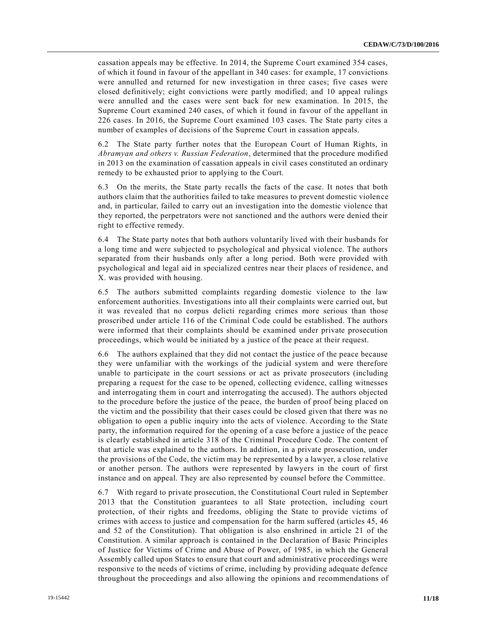cassation appeals may be effective. In 2014, the Supreme Court examined 354 cases, of which it found in favour of the appellant in 340 cases: for example, 17 convictions were annulled and returned for new investigation in three cases; five cases were closed definitively; eight convictions were partly modified; and 10 appeal rulings were annulled and the cases were sent back for new examination. In 2015, the Supreme Court examined 240 cases, of which it found in favour of the appellant in 226 cases. In 2016, the Supreme Court examined 103 cases. The State party cites a number of examples of decisions of the Supreme Court in cassation appeals.

6.2 The State party further notes that the European Court of Human Rights, in *Abramyan and others v. Russian Federation*, determined that the procedure modified in 2013 on the examination of cassation appeals in civil cases constituted an ordinary remedy to be exhausted prior to applying to the Court.

6.3 On the merits, the State party recalls the facts of the case. It notes that both authors claim that the authorities failed to take measures to prevent domestic violence and, in particular, failed to carry out an investigation into the domestic violence that they reported, the perpetrators were not sanctioned and the authors were denied their right to effective remedy.

6.4 The State party notes that both authors voluntarily lived with their husbands for a long time and were subjected to psychological and physical violence. The authors separated from their husbands only after a long period. Both were provided with psychological and legal aid in specialized centres near their places of residence, and X. was provided with housing.

6.5 The authors submitted complaints regarding domestic violence to the law enforcement authorities. Investigations into all their complaints were carried out, but it was revealed that no corpus delicti regarding crimes more serious than those proscribed under article 116 of the Criminal Code could be established. The authors were informed that their complaints should be examined under private prosecution proceedings, which would be initiated by a justice of the peace at their request.

6.6 The authors explained that they did not contact the justice of the peace because they were unfamiliar with the workings of the judicial system and were therefore unable to participate in the court sessions or act as private prosecutors (including preparing a request for the case to be opened, collecting evidence, calling witnesses and interrogating them in court and interrogating the accused). The authors objected to the procedure before the justice of the peace, the burden of proof being placed on the victim and the possibility that their cases could be closed given that there was no obligation to open a public inquiry into the acts of violence. According to the State party, the information required for the opening of a case before a justice of the peace is clearly established in article 318 of the Criminal Procedure Code. The content of that article was explained to the authors. In addition, in a private prosecution, under the provisions of the Code, the victim may be represented by a lawyer, a close relative or another person. The authors were represented by lawyers in the court of first instance and on appeal. They are also represented by counsel before the Committee.

6.7 With regard to private prosecution, the Constitutional Court ruled in September 2013 that the Constitution guarantees to all State protection, including court protection, of their rights and freedoms, obliging the State to provide victims of crimes with access to justice and compensation for the harm suffered (articles 45, 46 and 52 of the Constitution). That obligation is also enshrined in article 21 of the Constitution. A similar approach is contained in the Declaration of Basic Principles of Justice for Victims of Crime and Abuse of Power, of 1985, in which the General Assembly called upon States to ensure that court and administrative proceedings were responsive to the needs of victims of crime, including by providing adequate defence throughout the proceedings and also allowing the opinions and recommendations of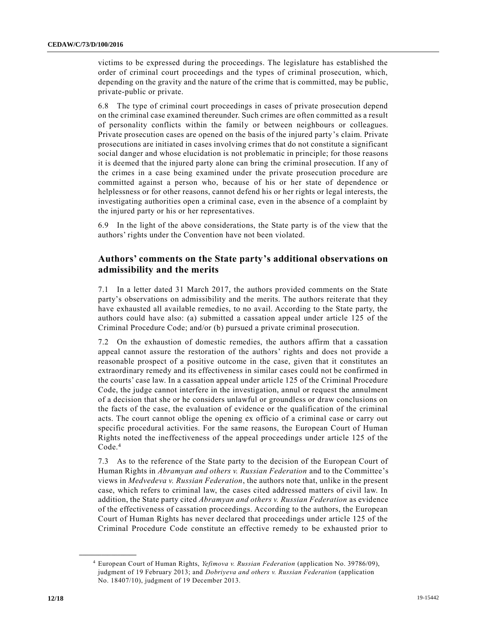victims to be expressed during the proceedings. The legislature has established the order of criminal court proceedings and the types of criminal prosecution, which, depending on the gravity and the nature of the crime that is committed, may be public, private-public or private.

6.8 The type of criminal court proceedings in cases of private prosecution depend on the criminal case examined thereunder. Such crimes are often committed as a result of personality conflicts within the family or between neighbours or colleagues. Private prosecution cases are opened on the basis of the injured party's claim. Private prosecutions are initiated in cases involving crimes that do not constitute a significant social danger and whose elucidation is not problematic in principle; for those reasons it is deemed that the injured party alone can bring the criminal prosecution. If any of the crimes in a case being examined under the private prosecution procedure are committed against a person who, because of his or her state of dependence or helplessness or for other reasons, cannot defend his or her rights or legal interests, the investigating authorities open a criminal case, even in the absence of a complaint by the injured party or his or her representatives.

6.9 In the light of the above considerations, the State party is of the view that the authors' rights under the Convention have not been violated.

## **Authors' comments on the State party's additional observations on admissibility and the merits**

7.1 In a letter dated 31 March 2017, the authors provided comments on the State party's observations on admissibility and the merits. The authors reiterate that they have exhausted all available remedies, to no avail. According to the State party, the authors could have also: (a) submitted a cassation appeal under article 125 of the Criminal Procedure Code; and/or (b) pursued a private criminal prosecution.

7.2 On the exhaustion of domestic remedies, the authors affirm that a cassation appeal cannot assure the restoration of the authors' rights and does not provide a reasonable prospect of a positive outcome in the case, given that it constitutes an extraordinary remedy and its effectiveness in similar cases could not be confirmed in the courts' case law. In a cassation appeal under article 125 of the Criminal Procedure Code, the judge cannot interfere in the investigation, annul or request the annulment of a decision that she or he considers unlawful or groundless or draw conclusions on the facts of the case, the evaluation of evidence or the qualification of the criminal acts. The court cannot oblige the opening ex officio of a criminal case or carry out specific procedural activities. For the same reasons, the European Court of Human Rights noted the ineffectiveness of the appeal proceedings under article 125 of the Code.<sup>4</sup>

7.3 As to the reference of the State party to the decision of the European Court of Human Rights in *Abramyan and others v. Russian Federation* and to the Committee's views in *Medvedeva v. Russian Federation*, the authors note that, unlike in the present case, which refers to criminal law, the cases cited addressed matters of civil law. In addition, the State party cited *Abramyan and others v. Russian Federation* as evidence of the effectiveness of cassation proceedings. According to the authors, the European Court of Human Rights has never declared that proceedings under article 125 of the Criminal Procedure Code constitute an effective remedy to be exhausted prior to

<sup>4</sup> European Court of Human Rights, *Yefimova v. Russian Federation* (application No. 39786/09), judgment of 19 February 2013; and *Dobriyeva and others v. Russian Federation* (application No. 18407/10), judgment of 19 December 2013.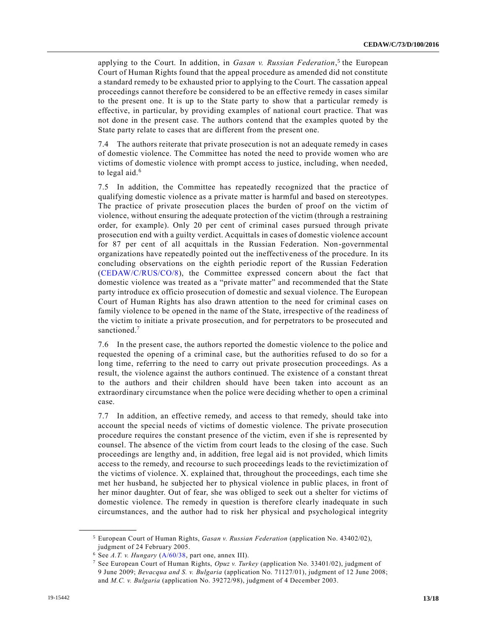applying to the Court. In addition, in *Gasan v. Russian Federation*, 5 the European Court of Human Rights found that the appeal procedure as amended did not constitute a standard remedy to be exhausted prior to applying to the Court. The cassation appeal proceedings cannot therefore be considered to be an effective remedy in cases similar to the present one. It is up to the State party to show that a particular remedy is effective, in particular, by providing examples of national court practice. That was not done in the present case. The authors contend that the examples quoted by the State party relate to cases that are different from the present one.

7.4 The authors reiterate that private prosecution is not an adequate remedy in cases of domestic violence. The Committee has noted the need to provide women who are victims of domestic violence with prompt access to justice, including, when needed, to legal aid.<sup>6</sup>

7.5 In addition, the Committee has repeatedly recognized that the practice of qualifying domestic violence as a private matter is harmful and based on stereotypes. The practice of private prosecution places the burden of proof on the victim of violence, without ensuring the adequate protection of the victim (through a restraining order, for example). Only 20 per cent of criminal cases pursued through private prosecution end with a guilty verdict. Acquittals in cases of domestic violence account for 87 per cent of all acquittals in the Russian Federation. Non-governmental organizations have repeatedly pointed out the ineffectiveness of the procedure. In its concluding observations on the eighth periodic report of the Russian Federation [\(CEDAW/C/RUS/CO/8\)](https://undocs.org/en/CEDAW/C/RUS/CO/8), the Committee expressed concern about the fact that domestic violence was treated as a "private matter" and recommended that the State party introduce ex officio prosecution of domestic and sexual violence. The European Court of Human Rights has also drawn attention to the need for criminal cases on family violence to be opened in the name of the State, irrespective of the readiness of the victim to initiate a private prosecution, and for perpetrators to be prosecuted and sanctioned.<sup>7</sup>

7.6 In the present case, the authors reported the domestic violence to the police and requested the opening of a criminal case, but the authorities refused to do so for a long time, referring to the need to carry out private prosecution proceedings. As a result, the violence against the authors continued. The existence of a constant threat to the authors and their children should have been taken into account as an extraordinary circumstance when the police were deciding whether to open a criminal case.

7.7 In addition, an effective remedy, and access to that remedy, should take into account the special needs of victims of domestic violence. The private prosecution procedure requires the constant presence of the victim, even if she is represented by counsel. The absence of the victim from court leads to the closing of the case. Such proceedings are lengthy and, in addition, free legal aid is not provided, which limits access to the remedy, and recourse to such proceedings leads to the revictimization of the victims of violence. X. explained that, throughout the proceedings, each time she met her husband, he subjected her to physical violence in public places, in front of her minor daughter. Out of fear, she was obliged to seek out a shelter for victims of domestic violence. The remedy in question is therefore clearly inadequate in such circumstances, and the author had to risk her physical and psychological integrity

<sup>5</sup> European Court of Human Rights, *Gasan v. Russian Federation* (application No. 43402/02), judgment of 24 February 2005.

<sup>6</sup> See *A.T. v. Hungary* [\(A/60/38,](https://undocs.org/en/A/60/38) part one, annex III).

<sup>7</sup> See European Court of Human Rights, *Opuz v. Turkey* (application No. 33401/02), judgment of 9 June 2009; *Bevacqua and S. v. Bulgaria* (application No. 71127/01), judgment of 12 June 2008; and *M.C. v. Bulgaria* (application No. 39272/98), judgment of 4 December 2003.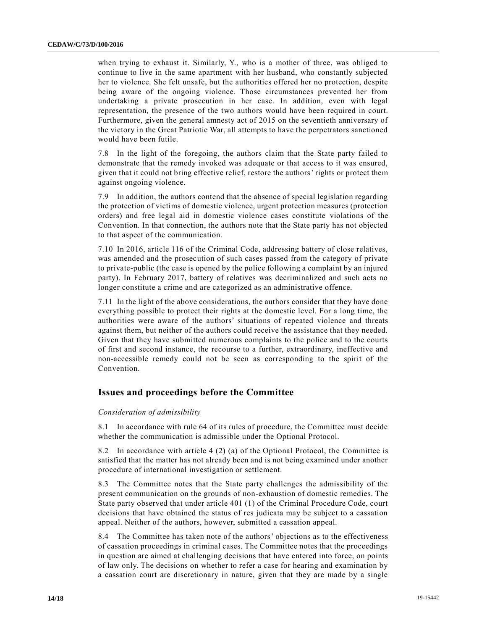when trying to exhaust it. Similarly, Y., who is a mother of three, was obliged to continue to live in the same apartment with her husband, who constantly subjected her to violence. She felt unsafe, but the authorities offered her no protection, despite being aware of the ongoing violence. Those circumstances prevented her from undertaking a private prosecution in her case. In addition, even with legal representation, the presence of the two authors would have been required in court. Furthermore, given the general amnesty act of 2015 on the seventieth anniversary of the victory in the Great Patriotic War, all attempts to have the perpetrators sanctioned would have been futile.

7.8 In the light of the foregoing, the authors claim that the State party failed to demonstrate that the remedy invoked was adequate or that access to it was ensured, given that it could not bring effective relief, restore the authors' rights or protect them against ongoing violence.

7.9 In addition, the authors contend that the absence of special legislation regarding the protection of victims of domestic violence, urgent protection measures (protection orders) and free legal aid in domestic violence cases constitute violations of the Convention. In that connection, the authors note that the State party has not objected to that aspect of the communication.

7.10 In 2016, article 116 of the Criminal Code, addressing battery of close relatives, was amended and the prosecution of such cases passed from the category of private to private-public (the case is opened by the police following a complaint by an injured party). In February 2017, battery of relatives was decriminalized and such acts no longer constitute a crime and are categorized as an administrative offence.

7.11 In the light of the above considerations, the authors consider that they have done everything possible to protect their rights at the domestic level. For a long time, the authorities were aware of the authors' situations of repeated violence and threats against them, but neither of the authors could receive the assistance that they needed. Given that they have submitted numerous complaints to the police and to the courts of first and second instance, the recourse to a further, extraordinary, ineffective and non-accessible remedy could not be seen as corresponding to the spirit of the Convention.

#### **Issues and proceedings before the Committee**

#### *Consideration of admissibility*

8.1 In accordance with rule 64 of its rules of procedure, the Committee must decide whether the communication is admissible under the Optional Protocol.

8.2 In accordance with article 4 (2) (a) of the Optional Protocol, the Committee is satisfied that the matter has not already been and is not being examined under another procedure of international investigation or settlement.

8.3 The Committee notes that the State party challenges the admissibility of the present communication on the grounds of non-exhaustion of domestic remedies. The State party observed that under article 401 (1) of the Criminal Procedure Code, court decisions that have obtained the status of res judicata may be subject to a cassation appeal. Neither of the authors, however, submitted a cassation appeal.

8.4 The Committee has taken note of the authors' objections as to the effectiveness of cassation proceedings in criminal cases. The Committee notes that the proceedings in question are aimed at challenging decisions that have entered into force, on points of law only. The decisions on whether to refer a case for hearing and examination by a cassation court are discretionary in nature, given that they are made by a single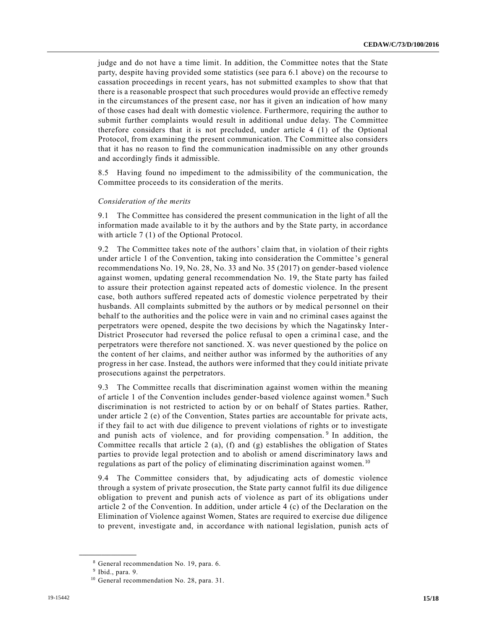judge and do not have a time limit. In addition, the Committee notes that the State party, despite having provided some statistics (see para 6.1 above) on the recourse to cassation proceedings in recent years, has not submitted examples to show that that there is a reasonable prospect that such procedures would provide an effective remedy in the circumstances of the present case, nor has it given an indication of how many of those cases had dealt with domestic violence. Furthermore, requiring the author to submit further complaints would result in additional undue delay. The Committee therefore considers that it is not precluded, under article 4 (1) of the Optional Protocol, from examining the present communication. The Committee also considers that it has no reason to find the communication inadmissible on any other grounds and accordingly finds it admissible.

8.5 Having found no impediment to the admissibility of the communication, the Committee proceeds to its consideration of the merits.

#### *Consideration of the merits*

9.1 The Committee has considered the present communication in the light of all the information made available to it by the authors and by the State party, in accordance with article 7(1) of the Optional Protocol.

9.2 The Committee takes note of the authors' claim that, in violation of their rights under article 1 of the Convention, taking into consideration the Committee 's general recommendations No. 19, No. 28, No. 33 and No. 35 (2017) on gender-based violence against women, updating general recommendation No. 19, the State party has failed to assure their protection against repeated acts of domestic violence. In the present case, both authors suffered repeated acts of domestic violence perpetrated by their husbands. All complaints submitted by the authors or by medical personnel on their behalf to the authorities and the police were in vain and no criminal cases against the perpetrators were opened, despite the two decisions by which the Nagatinsky Inter-District Prosecutor had reversed the police refusal to open a criminal case, and the perpetrators were therefore not sanctioned. X. was never questioned by the police on the content of her claims, and neither author was informed by the authorities of any progress in her case. Instead, the authors were informed that they could initiate private prosecutions against the perpetrators.

9.3 The Committee recalls that discrimination against women within the meaning of article 1 of the Convention includes gender-based violence against women.<sup>8</sup> Such discrimination is not restricted to action by or on behalf of States parties. Rather, under article 2 (e) of the Convention, States parties are accountable for private acts, if they fail to act with due diligence to prevent violations of rights or to investigate and punish acts of violence, and for providing compensation.<sup>9</sup> In addition, the Committee recalls that article 2 (a), (f) and (g) establishes the obligation of States parties to provide legal protection and to abolish or amend discriminatory laws and regulations as part of the policy of eliminating discrimination against women.<sup>10</sup>

9.4 The Committee considers that, by adjudicating acts of domestic violence through a system of private prosecution, the State party cannot fulfil its due diligence obligation to prevent and punish acts of violence as part of its obligations under article 2 of the Convention. In addition, under article 4 (c) of the Declaration on the Elimination of Violence against Women, States are required to exercise due diligence to prevent, investigate and, in accordance with national legislation, punish acts of

<sup>8</sup> General recommendation No. 19, para. 6.

<sup>9</sup> Ibid., para. 9.

<sup>&</sup>lt;sup>10</sup> General recommendation No. 28, para. 31.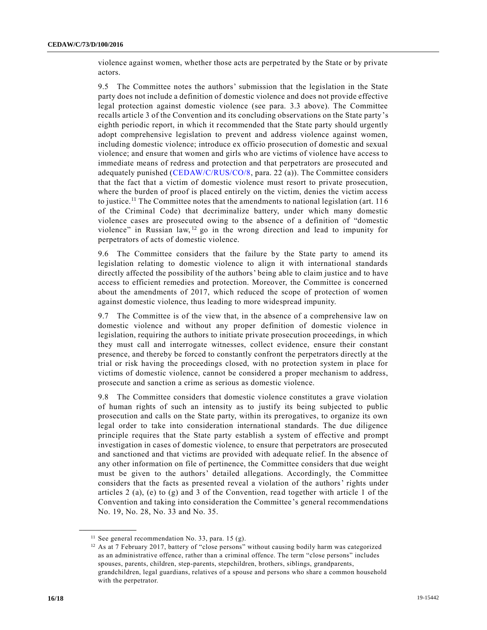violence against women, whether those acts are perpetrated by the State or by private actors.

9.5 The Committee notes the authors' submission that the legislation in the State party does not include a definition of domestic violence and does not provide effective legal protection against domestic violence (see para. 3.3 above). The Committee recalls article 3 of the Convention and its concluding observations on the State party's eighth periodic report, in which it recommended that the State party should urgently adopt comprehensive legislation to prevent and address violence against women, including domestic violence; introduce ex officio prosecution of domestic and sexual violence; and ensure that women and girls who are victims of violence have access to immediate means of redress and protection and that perpetrators are prosecuted and adequately punished [\(CEDAW/C/RUS/CO/8,](https://undocs.org/en/CEDAW/C/RUS/CO/8) para. 22 (a)). The Committee considers that the fact that a victim of domestic violence must resort to private prosecution, where the burden of proof is placed entirely on the victim, denies the victim access to justice.<sup>11</sup> The Committee notes that the amendments to national legislation (art. 116) of the Criminal Code) that decriminalize battery, under which many domestic violence cases are prosecuted owing to the absence of a definition of "domestic violence" in Russian law,  $12$  go in the wrong direction and lead to impunity for perpetrators of acts of domestic violence.

9.6 The Committee considers that the failure by the State party to amend its legislation relating to domestic violence to align it with international standards directly affected the possibility of the authors' being able to claim justice and to have access to efficient remedies and protection. Moreover, the Committee is concerned about the amendments of 2017, which reduced the scope of protection of women against domestic violence, thus leading to more widespread impunity.

9.7 The Committee is of the view that, in the absence of a comprehensive law on domestic violence and without any proper definition of domestic violence in legislation, requiring the authors to initiate private prosecution proceedings, in which they must call and interrogate witnesses, collect evidence, ensure their constant presence, and thereby be forced to constantly confront the perpetrators directly at the trial or risk having the proceedings closed, with no protection system in place for victims of domestic violence, cannot be considered a proper mechanism to address, prosecute and sanction a crime as serious as domestic violence.

9.8 The Committee considers that domestic violence constitutes a grave violation of human rights of such an intensity as to justify its being subjected to public prosecution and calls on the State party, within its prerogatives, to organize its own legal order to take into consideration international standards. The due diligence principle requires that the State party establish a system of effective and prompt investigation in cases of domestic violence, to ensure that perpetrators are prosecuted and sanctioned and that victims are provided with adequate relief. In the absence of any other information on file of pertinence, the Committee considers that due weight must be given to the authors' detailed allegations. Accordingly, the Committee considers that the facts as presented reveal a violation of the authors' rights under articles 2 (a), (e) to (g) and 3 of the Convention, read together with article 1 of the Convention and taking into consideration the Committee's general recommendations No. 19, No. 28, No. 33 and No. 35.

 $11$  See general recommendation No. 33, para. 15 (g).

<sup>&</sup>lt;sup>12</sup> As at 7 February 2017, battery of "close persons" without causing bodily harm was categorized as an administrative offence, rather than a criminal offence. The term "close persons" includes spouses, parents, children, step-parents, stepchildren, brothers, siblings, grandparents, grandchildren, legal guardians, relatives of a spouse and persons who share a common household with the perpetrator.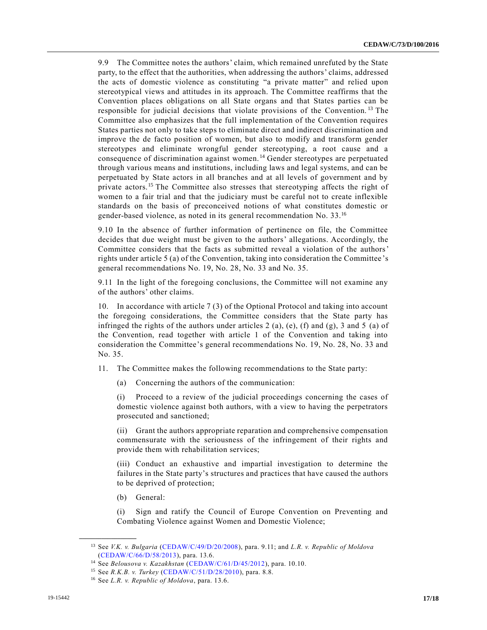9.9 The Committee notes the authors' claim, which remained unrefuted by the State party, to the effect that the authorities, when addressing the authors' claims, addressed the acts of domestic violence as constituting "a private matter" and relied upon stereotypical views and attitudes in its approach. The Committee reaffirms that the Convention places obligations on all State organs and that States parties can be responsible for judicial decisions that violate provisions of the Convention.<sup>13</sup> The Committee also emphasizes that the full implementation of the Convention requires States parties not only to take steps to eliminate direct and indirect discrimination and improve the de facto position of women, but also to modify and transform gender stereotypes and eliminate wrongful gender stereotyping, a root cause and a consequence of discrimination against women. <sup>14</sup> Gender stereotypes are perpetuated through various means and institutions, including laws and legal systems, and can be perpetuated by State actors in all branches and at all levels of government and by private actors.<sup>15</sup> The Committee also stresses that stereotyping affects the right of women to a fair trial and that the judiciary must be careful not to create inflexible standards on the basis of preconceived notions of what constitutes domestic or gender-based violence, as noted in its general recommendation No. 33.<sup>16</sup>

9.10 In the absence of further information of pertinence on file, the Committee decides that due weight must be given to the authors' allegations. Accordingly, the Committee considers that the facts as submitted reveal a violation of the authors' rights under article 5 (a) of the Convention, taking into consideration the Committee 's general recommendations No. 19, No. 28, No. 33 and No. 35.

9.11 In the light of the foregoing conclusions, the Committee will not examine any of the authors' other claims.

10. In accordance with article 7 (3) of the Optional Protocol and taking into account the foregoing considerations, the Committee considers that the State party has infringed the rights of the authors under articles 2 (a), (e), (f) and (g), 3 and 5 (a) of the Convention, read together with article 1 of the Convention and taking into consideration the Committee's general recommendations No. 19, No. 28, No. 33 and No. 35.

- 11. The Committee makes the following recommendations to the State party:
	- (a) Concerning the authors of the communication:

(i) Proceed to a review of the judicial proceedings concerning the cases of domestic violence against both authors, with a view to having the perpetrators prosecuted and sanctioned;

(ii) Grant the authors appropriate reparation and comprehensive compensation commensurate with the seriousness of the infringement of their rights and provide them with rehabilitation services;

(iii) Conduct an exhaustive and impartial investigation to determine the failures in the State party's structures and practices that have caused the authors to be deprived of protection;

(b) General:

**\_\_\_\_\_\_\_\_\_\_\_\_\_\_\_\_\_\_**

(i) Sign and ratify the Council of Europe Convention on Preventing and Combating Violence against Women and Domestic Violence;

<sup>13</sup> See *V.K. v. Bulgaria* [\(CEDAW/C/49/D/20/2008\)](https://undocs.org/en/CEDAW/C/49/D/20/2008), para. 9.11; and *L.R. v. Republic of Moldova* [\(CEDAW/C/66/D/58/2013\)](https://undocs.org/en/CEDAW/C/66/D/58/2013), para. 13.6.

<sup>14</sup> See *Belousova v. Kazakhstan* [\(CEDAW/C/61/D/45/2012\)](https://undocs.org/en/CEDAW/C/61/D/45/2012), para. 10.10.

<sup>15</sup> See *R.K.B. v. Turkey* [\(CEDAW/C/51/D/28/2010\)](https://undocs.org/en/CEDAW/C/51/D/28/2010), para. 8.8.

<sup>16</sup> See *L.R. v. Republic of Moldova*, para. 13.6.